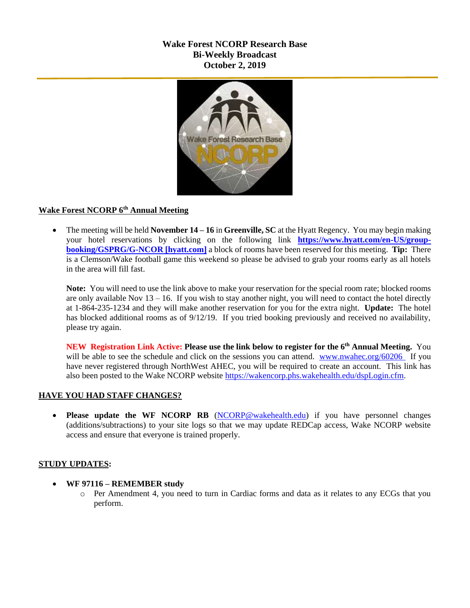## **Wake Forest NCORP Research Base Bi-Weekly Broadcast October 2, 2019**



## **Wake Forest NCORP 6th Annual Meeting**

 The meeting will be held **November 14 – 16** in **Greenville, SC** at the Hyatt Regency. You may begin making your hotel reservations by clicking on the following link **[https://www.hyatt.com/en-US/group](https://urldefense.proofpoint.com/v2/url?u=https-3A__www.hyatt.com_en-2DUS_group-2Dbooking_GSPRG_G-2DNCOR&d=DwMF-g&c=yzGiX0CSJAqkDTmENO9LmP6KfPQitNABR9M66gsTb5w&r=TnCUknn7SuuKiZZ9xYiqqVGRRW44n91mFcfkV4OTZdE&m=nMl5QpnTqZImfgmQv3WVuZH_olwfmfBEebqvflDwGVA&s=Jokja0iM_Zy6iN0skc6kDqNVUzyUA2YmjssaQyPU1jY&e=)[booking/GSPRG/G-NCOR \[hyatt.com\]](https://urldefense.proofpoint.com/v2/url?u=https-3A__www.hyatt.com_en-2DUS_group-2Dbooking_GSPRG_G-2DNCOR&d=DwMF-g&c=yzGiX0CSJAqkDTmENO9LmP6KfPQitNABR9M66gsTb5w&r=TnCUknn7SuuKiZZ9xYiqqVGRRW44n91mFcfkV4OTZdE&m=nMl5QpnTqZImfgmQv3WVuZH_olwfmfBEebqvflDwGVA&s=Jokja0iM_Zy6iN0skc6kDqNVUzyUA2YmjssaQyPU1jY&e=)** a block of rooms have been reserved for this meeting. **Tip:** There is a Clemson/Wake football game this weekend so please be advised to grab your rooms early as all hotels in the area will fill fast.

**Note:** You will need to use the link above to make your reservation for the special room rate; blocked rooms are only available Nov 13 – 16. If you wish to stay another night, you will need to contact the hotel directly at 1-864-235-1234 and they will make another reservation for you for the extra night. **Update:** The hotel has blocked additional rooms as of 9/12/19. If you tried booking previously and received no availability, please try again.

**NEW Registration Link Active: Please use the link below to register for the 6th Annual Meeting.** You will be able to see the schedule and click on the sessions you can attend. [www.nwahec.org/60206](http://www.nwahec.org/60206) If you have never registered through NorthWest AHEC, you will be required to create an account. This link has also been posted to the Wake NCORP website [https://wakencorp.phs.wakehealth.edu/dspLogin.cfm.](https://wakencorp.phs.wakehealth.edu/dspLogin.cfm)

# **HAVE YOU HAD STAFF CHANGES?**

 **Please update the WF NCORP RB** [\(NCORP@wakehealth.edu\)](mailto:NCORP@wakehealth.edu) if you have personnel changes (additions/subtractions) to your site logs so that we may update REDCap access, Wake NCORP website access and ensure that everyone is trained properly.

## **STUDY UPDATES:**

- **WF 97116 – REMEMBER study**
	- o Per Amendment 4, you need to turn in Cardiac forms and data as it relates to any ECGs that you perform.